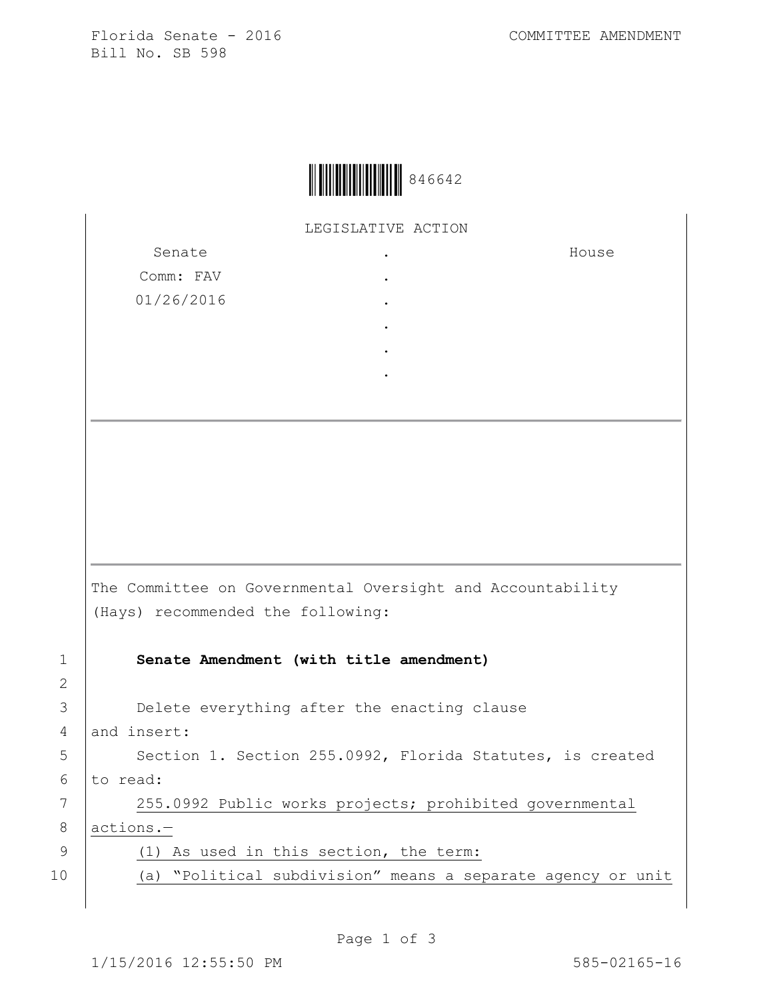Florida Senate - 2016 COMMITTEE AMENDMENT Bill No. SB 598



LEGISLATIVE ACTION

Senate Comm: FAV 01/26/2016 . . . . . . House The Committee on Governmental Oversight and Accountability (Hays) recommended the following: 1 **Senate Amendment (with title amendment)** 3 **Delete everything after the enacting clause** 4 and insert: 5 | Section 1. Section 255.0992, Florida Statutes, is created  $6$  to read: 7 255.0992 Public works projects; prohibited governmental 8 actions.— 9 (1) As used in this section, the term: 10 (a) "Political subdivision" means a separate agency or unit

Page 1 of 3

2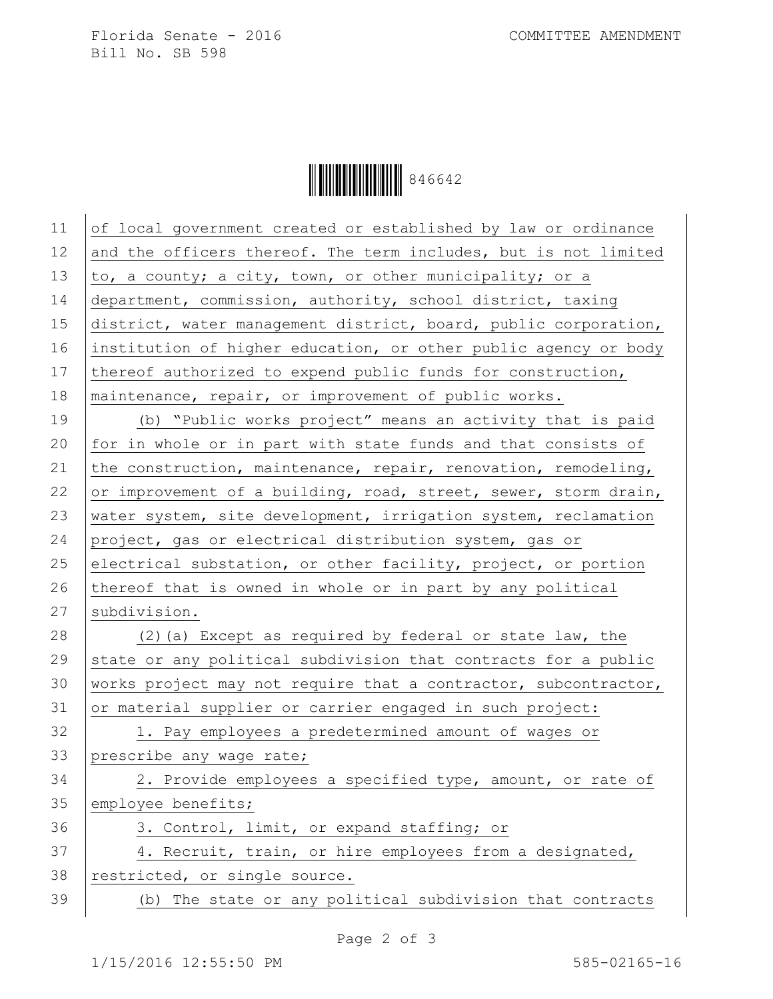Florida Senate - 2016 COMMITTEE AMENDMENT Bill No. SB 598

Ì846642/Î846642

11 of local government created or established by law or ordinance 12 and the officers thereof. The term includes, but is not limited 13  $\vert$  to, a county; a city, town, or other municipality; or a 14 department, commission, authority, school district, taxing 15 district, water management district, board, public corporation, 16 institution of higher education, or other public agency or body 17 thereof authorized to expend public funds for construction, 18 maintenance, repair, or improvement of public works. 19 (b) "Public works project" means an activity that is paid 20  $|$  for in whole or in part with state funds and that consists of 21 the construction, maintenance, repair, renovation, remodeling, 22 or improvement of a building, road, street, sewer, storm drain, 23 water system, site development, irrigation system, reclamation 24 project, gas or electrical distribution system, gas or 25 electrical substation, or other facility, project, or portion 26 thereof that is owned in whole or in part by any political 27 | subdivision. 28 (2)(a) Except as required by federal or state law, the 29 state or any political subdivision that contracts for a public 30 | works project may not require that a contractor, subcontractor, 31 or material supplier or carrier engaged in such project: 32 | 1. Pay employees a predetermined amount of wages or 33 prescribe any wage rate; 34 2. Provide employees a specified type, amount, or rate of 35 employee benefits; 36 3. Control, limit, or expand staffing; or 37 4. Recruit, train, or hire employees from a designated, 38 restricted, or single source. 39 (b) The state or any political subdivision that contracts